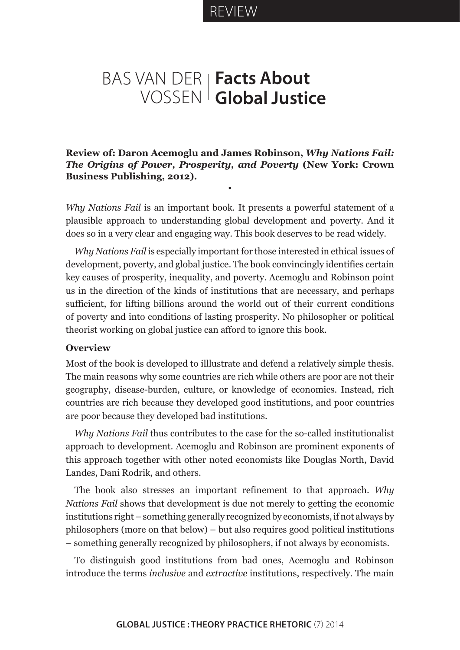REVIEW

## BAS VAN DER **Facts About**  VOSSEN **Global Justice**

**Review of: Daron Acemoglu and James Robinson,** *Why Nations Fail: The Origins of Power, Prosperity, and Poverty* **(New York: Crown Business Publishing, 2012).**

•

*Why Nations Fail* is an important book. It presents a powerful statement of a plausible approach to understanding global development and poverty. And it does so in a very clear and engaging way. This book deserves to be read widely.

*Why Nations Fail* is especially important for those interested in ethical issues of development, poverty, and global justice. The book convincingly identifies certain key causes of prosperity, inequality, and poverty. Acemoglu and Robinson point us in the direction of the kinds of institutions that are necessary, and perhaps sufficient, for lifting billions around the world out of their current conditions of poverty and into conditions of lasting prosperity. No philosopher or political theorist working on global justice can afford to ignore this book.

## **Overview**

Most of the book is developed to illlustrate and defend a relatively simple thesis. The main reasons why some countries are rich while others are poor are not their geography, disease-burden, culture, or knowledge of economics. Instead, rich countries are rich because they developed good institutions, and poor countries are poor because they developed bad institutions.

*Why Nations Fail* thus contributes to the case for the so-called institutionalist approach to development. Acemoglu and Robinson are prominent exponents of this approach together with other noted economists like Douglas North, David Landes, Dani Rodrik, and others.

The book also stresses an important refinement to that approach. *Why Nations Fail* shows that development is due not merely to getting the economic institutions right – something generally recognized by economists, if not always by philosophers (more on that below) – but also requires good political institutions – something generally recognized by philosophers, if not always by economists.

To distinguish good institutions from bad ones, Acemoglu and Robinson introduce the terms *inclusive* and *extractive* institutions, respectively. The main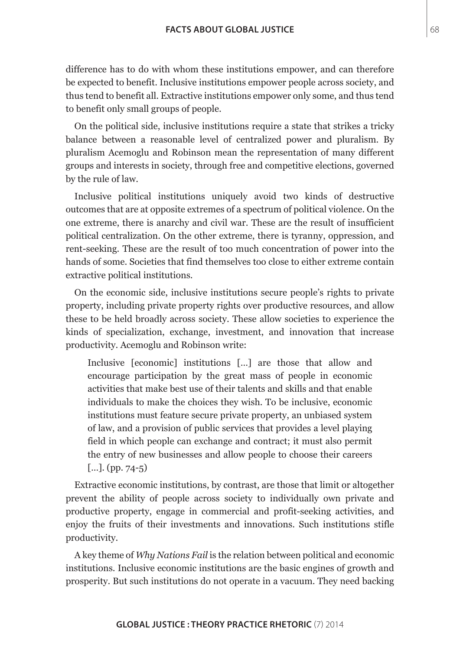difference has to do with whom these institutions empower, and can therefore be expected to benefit. Inclusive institutions empower people across society, and thus tend to benefit all. Extractive institutions empower only some, and thus tend to benefit only small groups of people.

On the political side, inclusive institutions require a state that strikes a tricky balance between a reasonable level of centralized power and pluralism. By pluralism Acemoglu and Robinson mean the representation of many different groups and interests in society, through free and competitive elections, governed by the rule of law.

Inclusive political institutions uniquely avoid two kinds of destructive outcomes that are at opposite extremes of a spectrum of political violence. On the one extreme, there is anarchy and civil war. These are the result of insufficient political centralization. On the other extreme, there is tyranny, oppression, and rent-seeking. These are the result of too much concentration of power into the hands of some. Societies that find themselves too close to either extreme contain extractive political institutions.

On the economic side, inclusive institutions secure people's rights to private property, including private property rights over productive resources, and allow these to be held broadly across society. These allow societies to experience the kinds of specialization, exchange, investment, and innovation that increase productivity. Acemoglu and Robinson write:

Inclusive [economic] institutions […] are those that allow and encourage participation by the great mass of people in economic activities that make best use of their talents and skills and that enable individuals to make the choices they wish. To be inclusive, economic institutions must feature secure private property, an unbiased system of law, and a provision of public services that provides a level playing field in which people can exchange and contract; it must also permit the entry of new businesses and allow people to choose their careers  $[...]$ . (pp. 74-5)

Extractive economic institutions, by contrast, are those that limit or altogether prevent the ability of people across society to individually own private and productive property, engage in commercial and profit-seeking activities, and enjoy the fruits of their investments and innovations. Such institutions stifle productivity.

A key theme of *Why Nations Fail* is the relation between political and economic institutions. Inclusive economic institutions are the basic engines of growth and prosperity. But such institutions do not operate in a vacuum. They need backing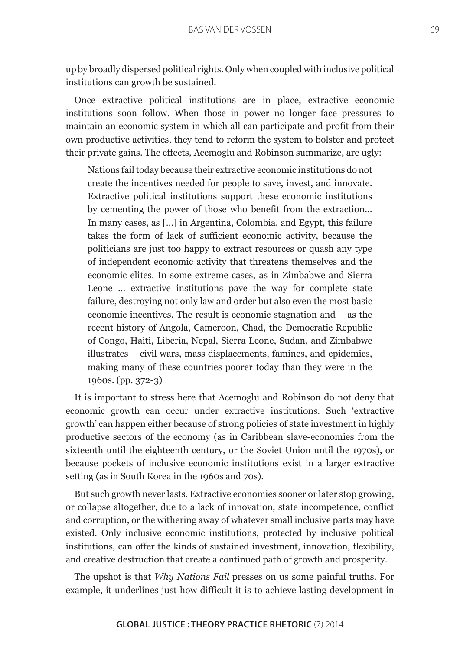up by broadly dispersed political rights. Only when coupled with inclusive political institutions can growth be sustained.

Once extractive political institutions are in place, extractive economic institutions soon follow. When those in power no longer face pressures to maintain an economic system in which all can participate and profit from their own productive activities, they tend to reform the system to bolster and protect their private gains. The effects, Acemoglu and Robinson summarize, are ugly:

Nations fail today because their extractive economic institutions do not create the incentives needed for people to save, invest, and innovate. Extractive political institutions support these economic institutions by cementing the power of those who benefit from the extraction… In many cases, as […] in Argentina, Colombia, and Egypt, this failure takes the form of lack of sufficient economic activity, because the politicians are just too happy to extract resources or quash any type of independent economic activity that threatens themselves and the economic elites. In some extreme cases, as in Zimbabwe and Sierra Leone … extractive institutions pave the way for complete state failure, destroying not only law and order but also even the most basic economic incentives. The result is economic stagnation and – as the recent history of Angola, Cameroon, Chad, the Democratic Republic of Congo, Haiti, Liberia, Nepal, Sierra Leone, Sudan, and Zimbabwe illustrates – civil wars, mass displacements, famines, and epidemics, making many of these countries poorer today than they were in the 1960s. (pp. 372-3)

It is important to stress here that Acemoglu and Robinson do not deny that economic growth can occur under extractive institutions. Such 'extractive growth' can happen either because of strong policies of state investment in highly productive sectors of the economy (as in Caribbean slave-economies from the sixteenth until the eighteenth century, or the Soviet Union until the 1970s), or because pockets of inclusive economic institutions exist in a larger extractive setting (as in South Korea in the 1960s and 70s).

But such growth never lasts. Extractive economies sooner or later stop growing, or collapse altogether, due to a lack of innovation, state incompetence, conflict and corruption, or the withering away of whatever small inclusive parts may have existed. Only inclusive economic institutions, protected by inclusive political institutions, can offer the kinds of sustained investment, innovation, flexibility, and creative destruction that create a continued path of growth and prosperity.

The upshot is that *Why Nations Fail* presses on us some painful truths. For example, it underlines just how difficult it is to achieve lasting development in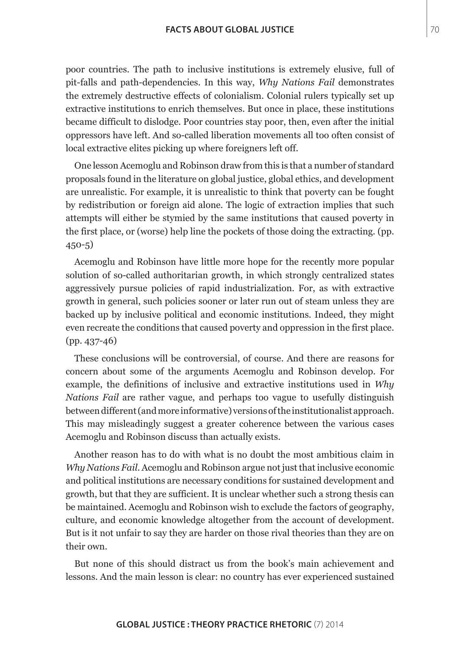poor countries. The path to inclusive institutions is extremely elusive, full of pit-falls and path-dependencies. In this way, *Why Nations Fail* demonstrates the extremely destructive effects of colonialism. Colonial rulers typically set up extractive institutions to enrich themselves. But once in place, these institutions became difficult to dislodge. Poor countries stay poor, then, even after the initial oppressors have left. And so-called liberation movements all too often consist of local extractive elites picking up where foreigners left off.

One lesson Acemoglu and Robinson draw from this is that a number of standard proposals found in the literature on global justice, global ethics, and development are unrealistic. For example, it is unrealistic to think that poverty can be fought by redistribution or foreign aid alone. The logic of extraction implies that such attempts will either be stymied by the same institutions that caused poverty in the first place, or (worse) help line the pockets of those doing the extracting. (pp. 450-5)

Acemoglu and Robinson have little more hope for the recently more popular solution of so-called authoritarian growth, in which strongly centralized states aggressively pursue policies of rapid industrialization. For, as with extractive growth in general, such policies sooner or later run out of steam unless they are backed up by inclusive political and economic institutions. Indeed, they might even recreate the conditions that caused poverty and oppression in the first place. (pp. 437-46)

These conclusions will be controversial, of course. And there are reasons for concern about some of the arguments Acemoglu and Robinson develop. For example, the definitions of inclusive and extractive institutions used in *Why Nations Fail* are rather vague, and perhaps too vague to usefully distinguish between different (and more informative) versions of the institutionalist approach. This may misleadingly suggest a greater coherence between the various cases Acemoglu and Robinson discuss than actually exists.

Another reason has to do with what is no doubt the most ambitious claim in *Why Nations Fail*. Acemoglu and Robinson argue not just that inclusive economic and political institutions are necessary conditions for sustained development and growth, but that they are sufficient. It is unclear whether such a strong thesis can be maintained. Acemoglu and Robinson wish to exclude the factors of geography, culture, and economic knowledge altogether from the account of development. But is it not unfair to say they are harder on those rival theories than they are on their own.

But none of this should distract us from the book's main achievement and lessons. And the main lesson is clear: no country has ever experienced sustained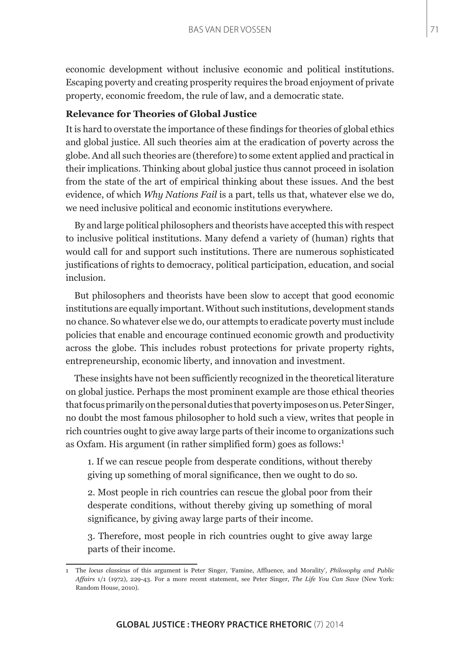economic development without inclusive economic and political institutions. Escaping poverty and creating prosperity requires the broad enjoyment of private property, economic freedom, the rule of law, and a democratic state.

## **Relevance for Theories of Global Justice**

It is hard to overstate the importance of these findings for theories of global ethics and global justice. All such theories aim at the eradication of poverty across the globe. And all such theories are (therefore) to some extent applied and practical in their implications. Thinking about global justice thus cannot proceed in isolation from the state of the art of empirical thinking about these issues. And the best evidence, of which *Why Nations Fail* is a part, tells us that, whatever else we do, we need inclusive political and economic institutions everywhere.

By and large political philosophers and theorists have accepted this with respect to inclusive political institutions. Many defend a variety of (human) rights that would call for and support such institutions. There are numerous sophisticated justifications of rights to democracy, political participation, education, and social inclusion.

But philosophers and theorists have been slow to accept that good economic institutions are equally important. Without such institutions, development stands no chance. So whatever else we do, our attempts to eradicate poverty must include policies that enable and encourage continued economic growth and productivity across the globe. This includes robust protections for private property rights, entrepreneurship, economic liberty, and innovation and investment.

These insights have not been sufficiently recognized in the theoretical literature on global justice. Perhaps the most prominent example are those ethical theories that focus primarily on the personal duties that poverty imposes on us. Peter Singer, no doubt the most famous philosopher to hold such a view, writes that people in rich countries ought to give away large parts of their income to organizations such as Oxfam. His argument (in rather simplified form) goes as follows:<sup>1</sup>

1. If we can rescue people from desperate conditions, without thereby giving up something of moral significance, then we ought to do so.

2. Most people in rich countries can rescue the global poor from their desperate conditions, without thereby giving up something of moral significance, by giving away large parts of their income.

3. Therefore, most people in rich countries ought to give away large parts of their income.

<sup>1</sup> The *locus classicus* of this argument is Peter Singer, 'Famine, Affluence, and Morality', *Philosophy and Public Affairs* 1/1 (1972), 229-43. For a more recent statement, see Peter Singer, *The Life You Can Save* (New York: Random House, 2010).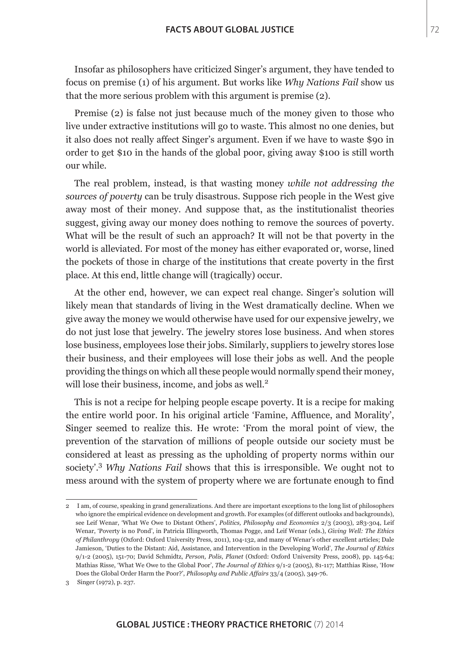Insofar as philosophers have criticized Singer's argument, they have tended to focus on premise (1) of his argument. But works like *Why Nations Fail* show us that the more serious problem with this argument is premise (2).

Premise (2) is false not just because much of the money given to those who live under extractive institutions will go to waste. This almost no one denies, but it also does not really affect Singer's argument. Even if we have to waste \$90 in order to get \$10 in the hands of the global poor, giving away \$100 is still worth our while.

The real problem, instead, is that wasting money *while not addressing the sources of poverty* can be truly disastrous. Suppose rich people in the West give away most of their money. And suppose that, as the institutionalist theories suggest, giving away our money does nothing to remove the sources of poverty. What will be the result of such an approach? It will not be that poverty in the world is alleviated. For most of the money has either evaporated or, worse, lined the pockets of those in charge of the institutions that create poverty in the first place. At this end, little change will (tragically) occur.

At the other end, however, we can expect real change. Singer's solution will likely mean that standards of living in the West dramatically decline. When we give away the money we would otherwise have used for our expensive jewelry, we do not just lose that jewelry. The jewelry stores lose business. And when stores lose business, employees lose their jobs. Similarly, suppliers to jewelry stores lose their business, and their employees will lose their jobs as well. And the people providing the things on which all these people would normally spend their money, will lose their business, income, and jobs as well.<sup>2</sup>

This is not a recipe for helping people escape poverty. It is a recipe for making the entire world poor. In his original article 'Famine, Affluence, and Morality', Singer seemed to realize this. He wrote: 'From the moral point of view, the prevention of the starvation of millions of people outside our society must be considered at least as pressing as the upholding of property norms within our society'.<sup>3</sup> *Why Nations Fail* shows that this is irresponsible. We ought not to mess around with the system of property where we are fortunate enough to find

<sup>2</sup> I am, of course, speaking in grand generalizations. And there are important exceptions to the long list of philosophers who ignore the empirical evidence on development and growth. For examples (of different outlooks and backgrounds), see Leif Wenar, 'What We Owe to Distant Others', *Politics, Philosophy and Economics* 2/3 (2003), 283-304, Leif Wenar, 'Poverty is no Pond', in Patricia Illingworth, Thomas Pogge, and Leif Wenar (eds.), *Giving Well: The Ethics of Philanthropy* (Oxford: Oxford University Press, 2011), 104-132, and many of Wenar's other excellent articles; Dale Jamieson, 'Duties to the Distant: Aid, Assistance, and Intervention in the Developing World', *The Journal of Ethics* 9/1-2 (2005), 151-70; David Schmidtz, *Person, Polis, Planet* (Oxford: Oxford University Press, 2008), pp. 145-64; Mathias Risse, 'What We Owe to the Global Poor', *The Journal of Ethics* 9/1-2 (2005), 81-117; Matthias Risse, 'How Does the Global Order Harm the Poor?', *Philosophy and Public Affairs* 33/4 (2005), 349-76.

<sup>3</sup> Singer (1972), p. 237.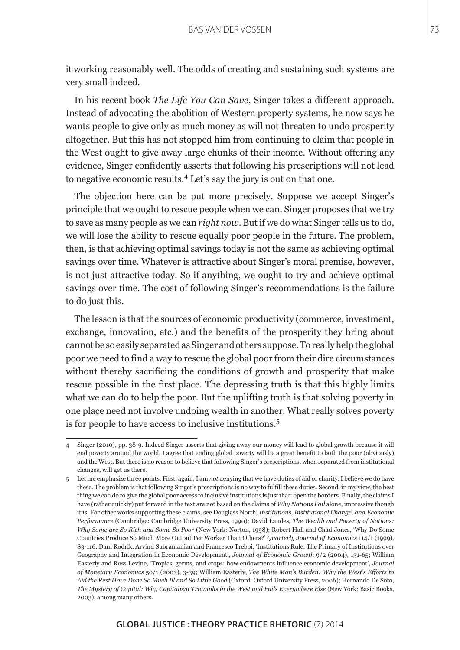it working reasonably well. The odds of creating and sustaining such systems are very small indeed.

In his recent book *The Life You Can Save*, Singer takes a different approach. Instead of advocating the abolition of Western property systems, he now says he wants people to give only as much money as will not threaten to undo prosperity altogether. But this has not stopped him from continuing to claim that people in the West ought to give away large chunks of their income. Without offering any evidence, Singer confidently asserts that following his prescriptions will not lead to negative economic results.<sup>4</sup> Let's say the jury is out on that one.

The objection here can be put more precisely. Suppose we accept Singer's principle that we ought to rescue people when we can. Singer proposes that we try to save as many people as we can *right now*. But if we do what Singer tells us to do, we will lose the ability to rescue equally poor people in the future. The problem, then, is that achieving optimal savings today is not the same as achieving optimal savings over time. Whatever is attractive about Singer's moral premise, however, is not just attractive today. So if anything, we ought to try and achieve optimal savings over time. The cost of following Singer's recommendations is the failure to do just this.

The lesson is that the sources of economic productivity (commerce, investment, exchange, innovation, etc.) and the benefits of the prosperity they bring about cannot be so easily separated as Singer and others suppose. To really help the global poor we need to find a way to rescue the global poor from their dire circumstances without thereby sacrificing the conditions of growth and prosperity that make rescue possible in the first place. The depressing truth is that this highly limits what we can do to help the poor. But the uplifting truth is that solving poverty in one place need not involve undoing wealth in another. What really solves poverty is for people to have access to inclusive institutions.<sup>5</sup>

<sup>4</sup> Singer (2010), pp. 38-9. Indeed Singer asserts that giving away our money will lead to global growth because it will end poverty around the world. I agree that ending global poverty will be a great benefit to both the poor (obviously) and the West. But there is no reason to believe that following Singer's prescriptions, when separated from institutional changes, will get us there.

<sup>5</sup> Let me emphasize three points. First, again, I am *not* denying that we have duties of aid or charity. I believe we do have these. The problem is that following Singer's prescriptions is no way to fulfill these duties. Second, in my view, the best thing we can do to give the global poor access to inclusive institutions is just that: open the borders. Finally, the claims I have (rather quickly) put forward in the text are not based on the claims of *Why Nations Fail* alone, impressive though it is. For other works supporting these claims, see Douglass North, *Institutions, Institutional Change, and Economic Performance* (Cambridge: Cambridge University Press, 1990); David Landes, *The Wealth and Poverty of Nations: Why Some are So Rich and Some So Poor* (New York: Norton, 1998); Robert Hall and Chad Jones, 'Why Do Some Countries Produce So Much More Output Per Worker Than Others?' *Quarterly Journal of Economics* 114/1 (1999), 83-116; Dani Rodrik, Arvind Subramanian and Francesco Trebbi, 'Institutions Rule: The Primary of Institutions over Geography and Integration in Economic Development', *Journal of Economic Growth* 9/2 (2004), 131-65; William Easterly and Ross Levine, 'Tropics, germs, and crops: how endowments influence economic development', *Journal of Monetary Economics* 50/1 (2003), 3-39; William Easterly, *The White Man's Burden: Why the West's Efforts to Aid the Rest Have Done So Much Ill and So Little Good* (Oxford: Oxford University Press, 2006); Hernando De Soto, *The Mystery of Capital: Why Capitalism Triumphs in the West and Fails Everywhere Else* (New York: Basic Books, 2003), among many others.